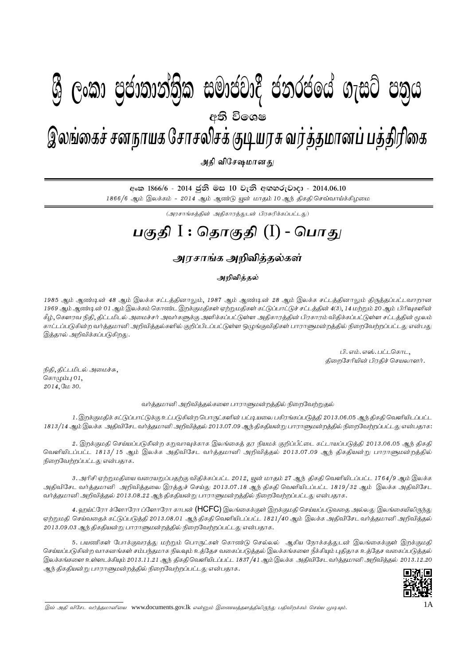## I **fldgi ( ^**I**& fPoh - Y S % ,xld m %cd;dk a; s %l iudcjd§ ckrcfh a w; s úfYI .eiÜ m; %h - 2014'06'10** gFjp I : njhFjp (I) - ,yqifr ; rdehaf Nrhryprf ; FbauR tu ; j; jkhdg ; gj ; jpupif - mjp tpNr\khdJ ; - 2014.06.10 இலங்கைச் சனநாயக சோசலிசக் குடியரசு வர்த்தமானப் பத்திரிகை  $\mathcal{B}$  George Changer Calendary Changer and conditional changer  $\mathcal{B}$ **අති වි**ගෙෂ

அதி விசேஷமானது

<u> අංක 1866/6 - 2014 ජුනි මස 10 වැනි අඟහරුවාදා - 2014.06.10</u> 1866/6 ஆம் இலக்கம் - 2014 ஆம் ஆண்டு யூன் மாதம் 10 ஆந் திகதி செவ்வாய்க்கிழமை

 $\left(\bigcup_{i=1}^n\left(\sum_{j=1}^n\sum_{j=1}^n\sum_{j=1}^{n}\sum_{j=1}^{n}\sum_{j=1}^{n}\sum_{j=1}^{n}\sum_{j=1}^{n}\sum_{j=1}^{n}\sum_{j=1}^{n}\sum_{j=1}^{n}\sum_{j=1}^{n}\sum_{j=1}^{n}\sum_{j=1}^{n}\sum_{j=1}^{n}\sum_{j=1}^{n}\sum_{j=1}^{n}\sum_{j=1}^{n}\sum_{j=1}^{n}\sum_{j=1}^{n}\sum_{j=1}^{n}$ 

# **gFjp** I : **njhFjp** (I) - **nghJ**

## <u>அரசாங்க அறிவித்த</u>ல்கள்

### அறிவித்தல்

1985 ஆம் ஆண்டின் 48 ஆம் இலக்க சட்டத்தினாலும், 1987 ஆம் ஆண்டின் 28 ஆம் இலக்க சட்டத்தினாலும் திருத்தப்பட்டவாறான 1969 ஆம் ஆண்டின் 01 ஆம் இலக்கம் கொண்ட இறக்குமதிகள் ஏற்றுமதிகள் கட்டுப்பாட்டுச் சட்டத்தின் 4(3), 14 மற்றும் 20 ஆம் பிரிவுகளின் .<br>கீழ், கௌரவ நிதி, திட்டமிடல் அமைச்சர் அவர்களுக்கு அளிக்கப்பட்டுள்ள அதிகாரத்தின் பிரகாரம் விகிக்கப்பட்டுள்ள சட்டக்கின் மூலம் காட்டப்படுகின்ற வர்த்தமானி அறிவித்தல்களில் குறிப்பிடப்பட்டுள்ள ஒழுங்குவிதிகள் பாராளுமன்றத்தில் நிறைவேற்றப்பட்டது என்பது இத்தால் அறிவிக்கப்படுகிறது.

> $L$ ி. எம். எஸ். பட்டகொட $,$ திறைசேரியின் பிரதிச் செயலாளர்.

நிதி, திட்டமிடல் அமைச்சு, சொழும்பு $01$ , 2014, மே 30.

வர்த்தமானி அறிவித்தல்களை பாராளுமன்றத்தில் நிறைவேற்றுதல்

1. இறக்குமதிக் கட்டுப்பாட்டுக்கு உட்படுகின்ற பொருட்களின் பட்டியலை பகிரங்கப்படுத்தி 2013.06.05 ஆந் திகதி வெளியிடப்பட்ட 1813/14 ஆம் இலக்க அதிவிசேட வர்த்தமானி அறிவித்தல் 2013.07.09 ஆந் திகதியன்று பாராளுமன்றத்தில் நிறைவேற்றப்பட்டது என்பதாக:

2. இறக்குமதி செய்யப்படுகின்ற கறுவாவுக்காக இலங்கைத் தர நியமக் குறிப்பீட்டை கட்டாயப்படுத்தி 2013.06.05 ஆந் திகதி வெளியிடப்பட்ட 1813/ 15 ஆம் இலக்க அதிவிசேட வர்த்தமானி அறிவித்தல் 2013.07.09 ஆந் திகதியன்று பாராளுமன்றத்தில் .<br>நிறைவேற்றப்பட்டது என்பதாக.

3. அரிசி ஏற்றுமதியை வரையறுப்பதற்கு விதிக்கப்பட்ட 2012, யூன் மாதம் 27 ஆந் திகதி வெளியிடப்பட்ட 1764/9 ஆம் இலக்க அதிவிசேட வர்த்தமானி அறிவித்தலை இரத்துச் செய்து 2013.07.18 ஆந் திகதி வெளியிடப்பட்ட 1819/32 ஆம் இலக்க அதிவிசேட வர்த்தமானி அறிவித்தல் 2013.08.22 ஆந் திகதியன்று பாராளுமன்றத்தில் நிறைவேற்றப்பட்டது என்பதாக.

4. ஹய்ட்ரோ க்ளோரோ ப்ளோரோ காபன் **(HCFC)** இலங்கைக்குள் இறக்குமதி செய்யப்படுவதை அல்லது இலங்கையிலிருந்து ஏற்றுமதி செய்வதைக் கட்டுப்படுத்தி 2013.08.01 ஆந் திகதி வெளியிடப்பட்ட 1821/40 ஆம் இலக்க அதிவிசேட வர்த்தமானி அறிவித்தல் 2013.09.03 ஆந் திகதியன் று பாராளுமன்றத்தில் நிறைவேற்றப்பட்டது என்பதாக.

5. பயணிகள் போக்குவரத்து மற்றும் பொருட்கள் கொண்டு செல்லல் ஆகிய நோக்கத்துடன் இலங்கைக்குள் இறக்குமதி செய்யப்படுகின்ற வாகனங்கள் சம்பந்தமாக நிலவும் உத்தேச வகைப்படுத்தல் இலக்கங்களை நீக்கியும் புதிதாக உத்தேச வகைப்படுத்தல் இலக்கங்களை உள்ளடக்கியும் 2013.11.21 ஆந் திகதி வெளியிடப்பட்ட 1837/41 ஆம் இலக்க அதிவிசேட வர்த்தமானி அறிவித்தல் 2013.12.20 ஆந் திகதியன்று பாராளுமன்றத்தில் நிறைவேற்றப்பட்டது என்பதாக.



<sup>,</sup>t; mjp tpNrl tu;j;jkhdpia www.documents.gov.lk vd;Dk; ,izaj;jsj;jpypUe;J gjptpwf;fk; nra;a KbAk;. 1A